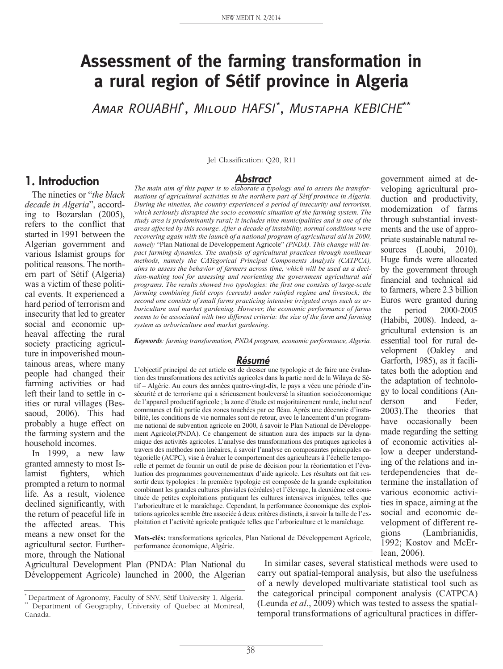# **Assessment of the farming transformation in a rural region of Sétif province in Algeria**

Amar ROUABHI\* , Miloud HAFSI\* , Mustapha KEBICHE\*\*

# **1. Introduction**

The nineties or "*the black decade in Algeria*", according to Bozarslan (2005), refers to the conflict that started in 1991 between the Algerian government and various Islamist groups for political reasons. The northern part of Sétif (Algeria) was a victim of these political events. It experienced a hard period of terrorism and insecurity that led to greater social and economic upheaval affecting the rural society practicing agriculture in impoverished mountainous areas, where many people had changed their farming activities or had left their land to settle in cities or rural villages (Bessaoud, 2006). This had probably a huge effect on the farming system and the household incomes.

In 1999, a new law granted amnesty to most Islamist fighters, which prompted a return to normal life. As a result, violence declined significantly, with the return of peaceful life in the affected areas. This means a new onset for the agricultural sector. Furthermore, through the National

Jel Classification: Q20, R11

#### **Abstract**

*The main aim of this paper is to elaborate a typology and to assess the transformations of agricultural activities in the northern part of Sétif province in Algeria. During the nineties, the country experienced a period of insecurity and terrorism, which seriously disrupted the socio-economic situation of the farming system. The study area is predominantly rural; it includes nine municipalities and is one of the areas affected by this scourge. After a decade of instability, normal conditions were recovering again with the launch of a national program of agricultural aid in 2000, namely* "Plan National de Développement Agricole" *(PNDA). This change will impact farming dynamics. The analysis of agricultural practices through nonlinear methods, namely the CATegorical Principal Components Analysis (CATPCA), aims to assess the behavior of farmers across time, which will be used as a decision-making tool for assessing and reorienting the government agricultural aid programs. The results showed two typologies: the first one consists of large-scale farming combining field crops (cereals) under rainfed regime and livestock; the second one consists of small farms practicing intensive irrigated crops such as arboriculture and market gardening. However, the economic performance of farms seems to be associated with two different criteria: the size of the farm and farming system as arboriculture and market gardening.* 

*Keywords: farming transformation, PNDA program, economic performance, Algeria.*

#### **Résumé**

L'objectif principal de cet article est de dresser une typologie et de faire une évaluation des transformations des activités agricoles dans la partie nord de la Wilaya de Sétif – Algérie. Au cours des années quatre-vingt-dix, le pays a vécu une période d'insécurité et de terrorisme qui a sérieusement bouleversé la situation socioéconomique de l'appareil productif agricole ; la zone d'étude est majoritairement rurale, inclut neuf communes et fait partie des zones touchées par ce fléau. Après une décennie d'instabilité, les conditions de vie normales sont de retour, avec le lancement d'un programme national de subvention agricole en 2000, à savoir le Plan National de Développement Agricole(PNDA). Ce changement de situation aura des impacts sur la dynamique des activités agricoles. L'analyse des transformations des pratiques agricoles à travers des méthodes non linéaires, à savoir l'analyse en composantes principales catégorielle (ACPC), vise à évaluer le comportement des agriculteurs à l'échelle temporelle et permet de fournir un outil de prise de décision pour la réorientation et l'évaluation des programmes gouvernementaux d'aide agricole. Les résultats ont fait ressortir deux typologies : la première typologie est composée de la grande exploitation combinant les grandes cultures pluviales (céréales) et l'élevage, la deuxième est constituée de petites exploitations pratiquant les cultures intensives irriguées, telles que l'arboriculture et le maraîchage. Cependant, la performance économique des exploitations agricoles semble être associée à deux critères distincts, à savoir la taille de l'exploitation et l'activité agricole pratiquée telles que l'arboriculture et le maraîchage.

**Mots-clés:** transformations agricoles, Plan National de Développement Agricole, performance économique, Algérie.

Agricultural Development Plan (PNDA: Plan National du Développement Agricole) launched in 2000, the Algerian

In similar cases, several statistical methods were used to carry out spatial-temporal analysis, but also the usefulness of a newly developed multivariate statistical tool such as the categorical principal component analysis (CATPCA) (Leunda *et al*., 2009) which was tested to assess the spatialtemporal transformations of agricultural practices in differ-

veloping agricultural production and productivity, modernization of farms through substantial investments and the use of appropriate sustainable natural resources (Laoubi, 2010). Huge funds were allocated by the government through financial and technical aid to farmers, where 2.3 billion Euros were granted during the period 2000-2005 (Habibi, 2008). Indeed, agricultural extension is an essential tool for rural development (Oakley and Garforth, 1985), as it facilitates both the adoption and the adaptation of technology to local conditions (Anderson and Feder, 2003).The theories that have occasionally been made regarding the setting of economic activities allow a deeper understanding of the relations and interdependencies that determine the installation of various economic activities in space, aiming at the social and economic development of different regions (Lambrianidis, 1992; Kostov and McErlean, 2006).

government aimed at de-

<sup>\*</sup> Department of Agronomy, Faculty of SNV, Sétif University 1, Algeria. \*\* Department of Geography, University of Quebec at Montreal, Canada.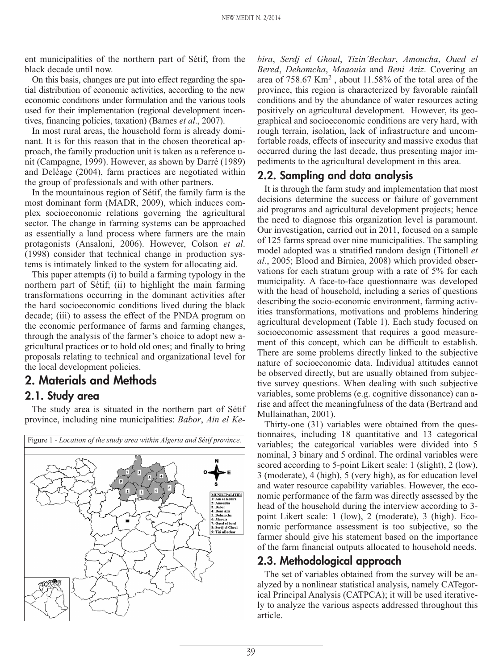ent municipalities of the northern part of Sétif, from the black decade until now.

On this basis, changes are put into effect regarding the spatial distribution of economic activities, according to the new economic conditions under formulation and the various tools used for their implementation (regional development incentives, financing policies, taxation) (Barnes *et al*., 2007).

In most rural areas, the household form is already dominant. It is for this reason that in the chosen theoretical approach, the family production unit is taken as a reference unit (Campagne, 1999). However, as shown by Darré (1989) and Deléage (2004), farm practices are negotiated within the group of professionals and with other partners.

In the mountainous region of Sétif, the family farm is the most dominant form (MADR, 2009), which induces complex socioeconomic relations governing the agricultural sector. The change in farming systems can be approached as essentially a land process where farmers are the main protagonists (Ansaloni, 2006). However, Colson *et al*. (1998) consider that technical change in production systems is intimately linked to the system for allocating aid.

This paper attempts (i) to build a farming typology in the northern part of Sétif; (ii) to highlight the main farming transformations occurring in the dominant activities after the hard socioeconomic conditions lived during the black decade; (iii) to assess the effect of the PNDA program on the economic performance of farms and farming changes, through the analysis of the farmer's choice to adopt new agricultural practices or to hold old ones; and finally to bring proposals relating to technical and organizational level for the local development policies.

# **2. Materials and Methods**

### **2.1. Study area**

The study area is situated in the northern part of Sétif province, including nine municipalities: *Babor*, *Ain el Ke-*



*bira*, *Serdj el Ghoul*, *Tizin'Bechar*, *Amoucha*, *Oued el Bered*, *Dehamcha*, *Maaouia* and *Beni Aziz*. Covering an area of 758.67 Km2 , about 11.58% of the total area of the province, this region is characterized by favorable rainfall conditions and by the abundance of water resources acting positively on agricultural development. However, its geographical and socioeconomic conditions are very hard, with rough terrain, isolation, lack of infrastructure and uncomfortable roads, effects of insecurity and massive exodus that occurred during the last decade, thus presenting major impediments to the agricultural development in this area.

# **2.2. Sampling and data analysis**

It is through the farm study and implementation that most decisions determine the success or failure of government aid programs and agricultural development projects; hence the need to diagnose this organization level is paramount. Our investigation, carried out in 2011, focused on a sample of 125 farms spread over nine municipalities. The sampling model adopted was a stratified random design (Tittonell *et al*., 2005; Blood and Birniea, 2008) which provided observations for each stratum group with a rate of 5% for each municipality. A face-to-face questionnaire was developed with the head of household, including a series of questions describing the socio-economic environment, farming activities transformations, motivations and problems hindering agricultural development (Table 1). Each study focused on socioeconomic assessment that requires a good measurement of this concept, which can be difficult to establish. There are some problems directly linked to the subjective nature of socioeconomic data. Individual attitudes cannot be observed directly, but are usually obtained from subjective survey questions. When dealing with such subjective variables, some problems (e.g. cognitive dissonance) can arise and affect the meaningfulness of the data (Bertrand and Mullainathan, 2001).

Thirty-one (31) variables were obtained from the questionnaires, including 18 quantitative and 13 categorical variables; the categorical variables were divided into 5 nominal, 3 binary and 5 ordinal. The ordinal variables were scored according to 5-point Likert scale: 1 (slight), 2 (low), 3 (moderate), 4 (high), 5 (very high), as for education level and water resource capability variables. However, the economic performance of the farm was directly assessed by the head of the household during the interview according to 3 point Likert scale: 1 (low), 2 (moderate), 3 (high). Economic performance assessment is too subjective, so the farmer should give his statement based on the importance of the farm financial outputs allocated to household needs.

# **2.3. Methodological approach**

The set of variables obtained from the survey will be analyzed by a nonlinear statistical analysis, namely CATegorical Principal Analysis (CATPCA); it will be used iteratively to analyze the various aspects addressed throughout this article.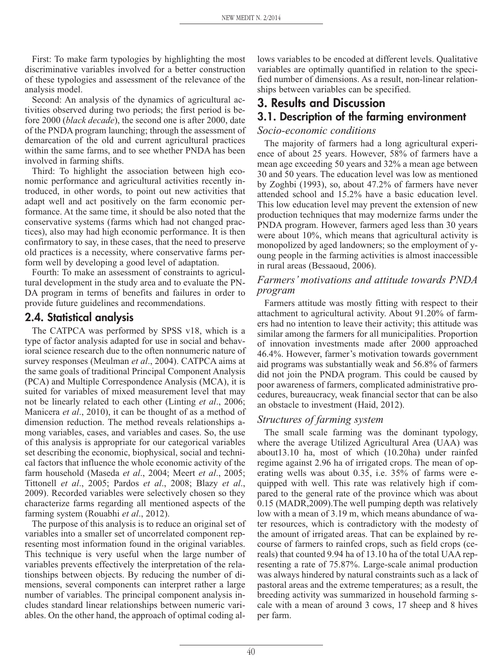First: To make farm typologies by highlighting the most discriminative variables involved for a better construction of these typologies and assessment of the relevance of the analysis model.

Second: An analysis of the dynamics of agricultural activities observed during two periods; the first period is before 2000 (*black decade*), the second one is after 2000, date of the PNDA program launching; through the assessment of demarcation of the old and current agricultural practices within the same farms, and to see whether PNDA has been involved in farming shifts.

Third: To highlight the association between high economic performance and agricultural activities recently introduced, in other words, to point out new activities that adapt well and act positively on the farm economic performance. At the same time, it should be also noted that the conservative systems (farms which had not changed practices), also may had high economic performance. It is then confirmatory to say, in these cases, that the need to preserve old practices is a necessity, where conservative farms perform well by developing a good level of adaptation.

Fourth: To make an assessment of constraints to agricultural development in the study area and to evaluate the PN-DA program in terms of benefits and failures in order to provide future guidelines and recommendations.

### **2.4. Statistical analysis**

The CATPCA was performed by SPSS v18, which is a type of factor analysis adapted for use in social and behavioral science research due to the often nonnumeric nature of survey responses (Meulman *et al*., 2004). CATPCA aims at the same goals of traditional Principal Component Analysis (PCA) and Multiple Correspondence Analysis (MCA), it is suited for variables of mixed measurement level that may not be linearly related to each other (Linting *et al*., 2006; Manicera *et al*., 2010), it can be thought of as a method of dimension reduction. The method reveals relationships among variables, cases, and variables and cases. So, the use of this analysis is appropriate for our categorical variables set describing the economic, biophysical, social and technical factors that influence the whole economic activity of the farm household (Maseda *et al*., 2004; Meert *et al*., 2005; Tittonell *et al*., 2005; Pardos *et al*., 2008; Blazy *et al*., 2009). Recorded variables were selectively chosen so they characterize farms regarding all mentioned aspects of the farming system (Rouabhi *et al*., 2012).

The purpose of this analysis is to reduce an original set of variables into a smaller set of uncorrelated component representing most information found in the original variables. This technique is very useful when the large number of variables prevents effectively the interpretation of the relationships between objects. By reducing the number of dimensions, several components can interpret rather a large number of variables. The principal component analysis includes standard linear relationships between numeric variables. On the other hand, the approach of optimal coding allows variables to be encoded at different levels. Qualitative variables are optimally quantified in relation to the specified number of dimensions. As a result, non-linear relationships between variables can be specified.

# **3. Results and Discussion 3.1. Description of the farming environment**

### *Socio-economic conditions*

The majority of farmers had a long agricultural experience of about 25 years. However, 58% of farmers have a mean age exceeding 50 years and 32% a mean age between 30 and 50 years. The education level was low as mentioned by Zoghbi (1993), so, about 47.2% of farmers have never attended school and 15.2% have a basic education level. This low education level may prevent the extension of new production techniques that may modernize farms under the PNDA program. However, farmers aged less than 30 years were about 10%, which means that agricultural activity is monopolized by aged landowners; so the employment of young people in the farming activities is almost inaccessible in rural areas (Bessaoud, 2006).

### *Farmers' motivations and attitude towards PNDA program*

Farmers attitude was mostly fitting with respect to their attachment to agricultural activity. About 91.20% of farmers had no intention to leave their activity; this attitude was similar among the farmers for all municipalities. Proportion of innovation investments made after 2000 approached 46.4%. However, farmer's motivation towards government aid programs was substantially weak and 56.8% of farmers did not join the PNDA program. This could be caused by poor awareness of farmers, complicated administrative procedures, bureaucracy, weak financial sector that can be also an obstacle to investment (Haid, 2012).

### *Structures of farming system*

The small scale farming was the dominant typology, where the average Utilized Agricultural Area (UAA) was about13.10 ha, most of which (10.20ha) under rainfed regime against 2.96 ha of irrigated crops. The mean of operating wells was about 0.35, i.e. 35% of farms were equipped with well. This rate was relatively high if compared to the general rate of the province which was about 0.15 (MADR,2009).The well pumping depth was relatively low with a mean of 3.19 m, which means abundance of water resources, which is contradictory with the modesty of the amount of irrigated areas. That can be explained by recourse of farmers to rainfed crops, such as field crops (cereals) that counted 9.94 ha of 13.10 ha of the total UAA representing a rate of 75.87%. Large-scale animal production was always hindered by natural constraints such as a lack of pastoral areas and the extreme temperatures; as a result, the breeding activity was summarized in household farming scale with a mean of around 3 cows, 17 sheep and 8 hives per farm.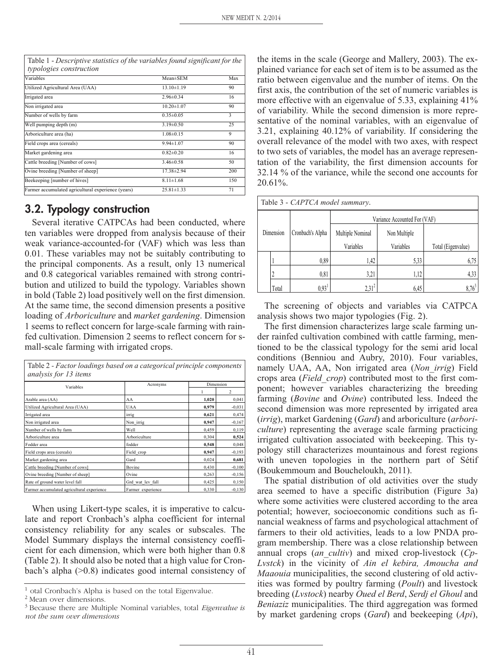| Variables                                          | Mean±SEM         | Max |
|----------------------------------------------------|------------------|-----|
| Utilized Agricultural Area (UAA)                   | $13.10 \pm 1.19$ | 90  |
| Irrigated area                                     | $2.96 \pm 0.34$  | 16  |
| Non irrigated area                                 | $10.20 \pm 1.07$ | 90  |
| Number of wells by farm                            | $0.35 \pm 0.05$  | 3   |
| Well pumping depth (m)                             | $3.19 \pm 0.50$  | 25  |
| Arboriculture area (ha)                            | $1.08 \pm 0.15$  | 9   |
| Field crops area (cereals)                         | $9.94 \pm 1.07$  | 90  |
| Market gardening area                              | $0.82 \pm 0.20$  | 16  |
| Cattle breeding [Number of cows]                   | $3.46 \pm 0.58$  | 50  |
| Ovine breeding [Number of sheep]                   | 17.38±2.94       | 200 |
| Beekeeping [number of hives]                       | $8.11 \pm 1.68$  | 150 |
| Farmer accumulated agricultural experience (years) | $25.81 \pm 1.33$ | 71  |

Table 1 - *Descriptive statistics of the variables found significant for the*

# **3.2. Typology construction**

Several iterative CATPCAs had been conducted, where ten variables were dropped from analysis because of their weak variance-accounted-for (VAF) which was less than 0.01. These variables may not be suitably contributing to the principal components. As a result, only 13 numerical and 0.8 categorical variables remained with strong contribution and utilized to build the typology. Variables shown in bold (Table 2) load positively well on the first dimension. At the same time, the second dimension presents a positive loading of *Arboriculture* and *market gardening*. Dimension 1 seems to reflect concern for large-scale farming with rainfed cultivation. Dimension 2 seems to reflect concern for small-scale farming with irrigated crops.

| Table 2 - Factor loadings based on a categorical principle components<br>analysis for 13 items |                   |           |          |  |
|------------------------------------------------------------------------------------------------|-------------------|-----------|----------|--|
| Variables                                                                                      | Acronyms          | Dimension |          |  |
|                                                                                                |                   |           | 2        |  |
| Arable area (AA)                                                                               | AA                | 1,020     | 0,041    |  |
| Utilized Agricultural Area (UAA)                                                               | <b>UAA</b>        | 0.979     | $-0,031$ |  |
| Irrigated area                                                                                 | irrig             | 0.621     | 0,474    |  |
| Non irrigated area                                                                             | Non irrig         | 0,947     | $-0,167$ |  |
| Number of wells by farm                                                                        | Well              | 0,459     | 0,119    |  |
| Arboriculture area                                                                             | Arboriculture     | 0,304     | 0,524    |  |
| Fodder area                                                                                    | fodder            | 0,548     | 0,048    |  |
| Field crops area (cereals)                                                                     | Field crop        | 0,947     | $-0,193$ |  |
| Market gardening area                                                                          | Gard              | 0,024     | 0,681    |  |
| Cattle breeding [Number of cows]                                                               | Bovine            | 0,430     | $-0,100$ |  |
| Ovine breeding [Number of sheep]                                                               | Ovine             | 0,263     | $-0,156$ |  |
| Rate of ground water level fall                                                                | Grd wat lev fall  | 0,425     | 0,150    |  |
| Farmer accumulated agricultural experience                                                     | Farmer experience | 0,330     | $-0,130$ |  |

When using Likert-type scales, it is imperative to calculate and report Cronbach's alpha coefficient for internal consistency reliability for any scales or subscales. The Model Summary displays the internal consistency coefficient for each dimension, which were both higher than 0.8 (Table 2). It should also be noted that a high value for Cronbach's alpha (>0.8) indicates good internal consistency of the items in the scale (George and Mallery, 2003). The explained variance for each set of item is to be assumed as the ratio between eigenvalue and the number of items. On the first axis, the contribution of the set of numeric variables is more effective with an eigenvalue of 5.33, explaining 41% of variability. While the second dimension is more representative of the nominal variables, with an eigenvalue of 3.21, explaining 40.12% of variability. If considering the overall relevance of the model with two axes, with respect to two sets of variables, the model has an average representation of the variability, the first dimension accounts for 32.14 % of the variance, while the second one accounts for 20.61%.

| Table 3 - CAPTCA model summary. |  |
|---------------------------------|--|
|---------------------------------|--|

|           |       |                   | Variance Accounted For (VAF) |              |                    |  |
|-----------|-------|-------------------|------------------------------|--------------|--------------------|--|
| Dimension |       | Cronbach's Alpha  | Multiple Nominal             | Non Multiple |                    |  |
|           |       |                   | Variables                    | Variables    | Total (Eigenvalue) |  |
|           |       | 0,89              | 1,42                         | 5,33         | 6,75               |  |
|           |       | 0,81              | 3,21                         | 1,12         | 4,33               |  |
|           | Total | 0,93 <sup>1</sup> | $2,31^2$                     | 6.45         | $8.76^{3}$         |  |

The screening of objects and variables via CATPCA analysis shows two major typologies (Fig. 2).

The first dimension characterizes large scale farming under rainfed cultivation combined with cattle farming, mentioned to be the classical typology for the semi arid local conditions (Benniou and Aubry, 2010). Four variables, namely UAA, AA, Non irrigated area (*Non\_irrig*) Field crops area (*Field\_crop*) contributed most to the first component; however variables characterizing the breeding farming (*Bovine* and *Ovine*) contributed less. Indeed the second dimension was more represented by irrigated area (*irrig*), market Gardening (*Gard*) and arboriculture (*arboriculture*) representing the average scale farming practicing irrigated cultivation associated with beekeeping. This typology still characterizes mountainous and forest regions with uneven topologies in the northern part of Sétif (Boukemmoum and Boucheloukh, 2011).

The spatial distribution of old activities over the study area seemed to have a specific distribution (Figure 3a) where some activities were clustered according to the area potential; however, socioeconomic conditions such as financial weakness of farms and psychological attachment of farmers to their old activities, leads to a low PNDA program membership. There was a close relationship between annual crops (*an\_cultiv*) and mixed crop-livestock (*Cp-Lvstck*) in the vicinity of *Ain el kebira, Amoucha and Maaouia* municipalities, the second clustering of old activities was formed by poultry farming (*Poult*) and livestock breeding (*Lvstock*) nearby *Oued el Berd*, *Serdj el Ghoul* and *Beniaziz* municipalities. The third aggregation was formed by market gardening crops (*Gard*) and beekeeping (*Api*),

<sup>1</sup> otal Cronbach's Alpha is based on the total Eigenvalue.

<sup>2</sup> Mean over dimensions.

<sup>3</sup> Because there are Multiple Nominal variables, total *Eigenvalue is not the sum over dimensions*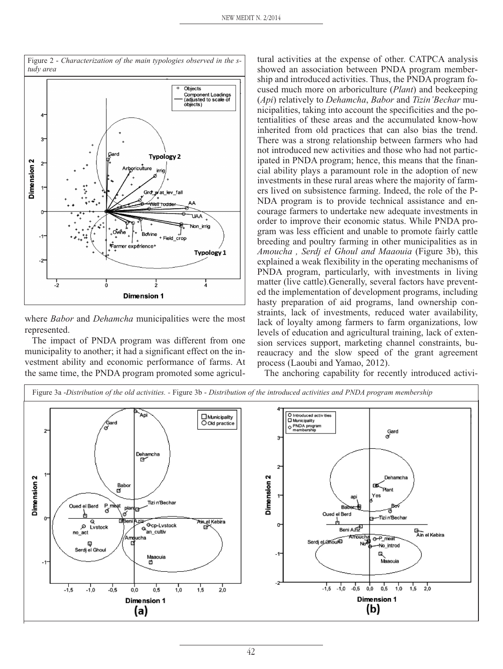

where *Babor* and *Dehamcha* municipalities were the most represented.

The impact of PNDA program was different from one municipality to another; it had a significant effect on the investment ability and economic performance of farms. At the same time, the PNDA program promoted some agricultural activities at the expense of other. CATPCA analysis showed an association between PNDA program membership and introduced activities. Thus, the PNDA program focused much more on arboriculture (*Plant*) and beekeeping (*Api*) relatively to *Dehamcha*, *Babor* and *Tizin'Bechar* municipalities, taking into account the specificities and the potentialities of these areas and the accumulated know-how inherited from old practices that can also bias the trend. There was a strong relationship between farmers who had not introduced new activities and those who had not participated in PNDA program; hence, this means that the financial ability plays a paramount role in the adoption of new investments in these rural areas where the majority of farmers lived on subsistence farming. Indeed, the role of the P-NDA program is to provide technical assistance and encourage farmers to undertake new adequate investments in order to improve their economic status. While PNDA program was less efficient and unable to promote fairly cattle breeding and poultry farming in other municipalities as in *Amoucha , Serdj el Ghoul and Maaouia* (Figure 3b), this explained a weak flexibility in the operating mechanisms of PNDA program, particularly, with investments in living matter (live cattle).Generally, several factors have prevented the implementation of development programs, including hasty preparation of aid programs, land ownership constraints, lack of investments, reduced water availability, lack of loyalty among farmers to farm organizations, low levels of education and agricultural training, lack of extension services support, marketing channel constraints, bureaucracy and the slow speed of the grant agreement process (Laoubi and Yamao, 2012).

The anchoring capability for recently introduced activi-



Figure 2 - *Characterization of the main typologies observed in the study area*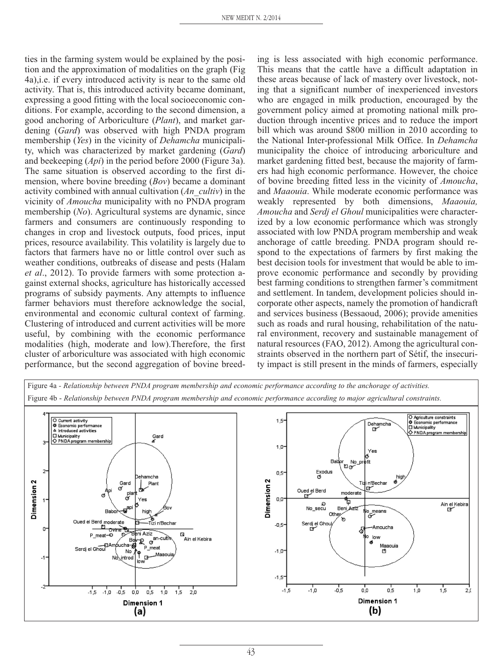ties in the farming system would be explained by the position and the approximation of modalities on the graph (Fig 4a),i.e. if every introduced activity is near to the same old activity. That is, this introduced activity became dominant, expressing a good fitting with the local socioeconomic conditions. For example, according to the second dimension, a good anchoring of Arboriculture (*Plant*), and market gardening (*Gard*) was observed with high PNDA program membership (*Yes*) in the vicinity of *Dehamcha* municipality, which was characterized by market gardening (*Gard*) and beekeeping (*Api*) in the period before 2000 (Figure 3a). The same situation is observed according to the first dimension, where bovine breeding (*Bov*) became a dominant activity combined with annual cultivation (*An\_cultiv*) in the vicinity of *Amoucha* municipality with no PNDA program membership (*No*). Agricultural systems are dynamic, since farmers and consumers are continuously responding to changes in crop and livestock outputs, food prices, input prices, resource availability. This volatility is largely due to factors that farmers have no or little control over such as weather conditions, outbreaks of disease and pests (Halam *et al*., 2012). To provide farmers with some protection against external shocks, agriculture has historically accessed programs of subsidy payments. Any attempts to influence farmer behaviors must therefore acknowledge the social, environmental and economic cultural context of farming. Clustering of introduced and current activities will be more useful, by combining with the economic performance modalities (high, moderate and low).Therefore, the first cluster of arboriculture was associated with high economic performance, but the second aggregation of bovine breed-

ing is less associated with high economic performance. This means that the cattle have a difficult adaptation in these areas because of lack of mastery over livestock, noting that a significant number of inexperienced investors who are engaged in milk production, encouraged by the government policy aimed at promoting national milk production through incentive prices and to reduce the import bill which was around \$800 million in 2010 according to the National Inter-professional Milk Office. In *Dehamcha* municipality the choice of introducing arboriculture and market gardening fitted best, because the majority of farmers had high economic performance. However, the choice of bovine breeding fitted less in the vicinity of *Amoucha*, and *Maaouia*. While moderate economic performance was weakly represented by both dimensions, *Maaouia, Amoucha* and *Serdj el Ghoul* municipalities were characterized by a low economic performance which was strongly associated with low PNDA program membership and weak anchorage of cattle breeding. PNDA program should respond to the expectations of farmers by first making the best decision tools for investment that would be able to improve economic performance and secondly by providing best farming conditions to strengthen farmer's commitment and settlement. In tandem, development policies should incorporate other aspects, namely the promotion of handicraft and services business (Bessaoud, 2006); provide amenities such as roads and rural housing, rehabilitation of the natural environment, recovery and sustainable management of natural resources (FAO, 2012). Among the agricultural constraints observed in the northern part of Sétif, the insecurity impact is still present in the minds of farmers, especially

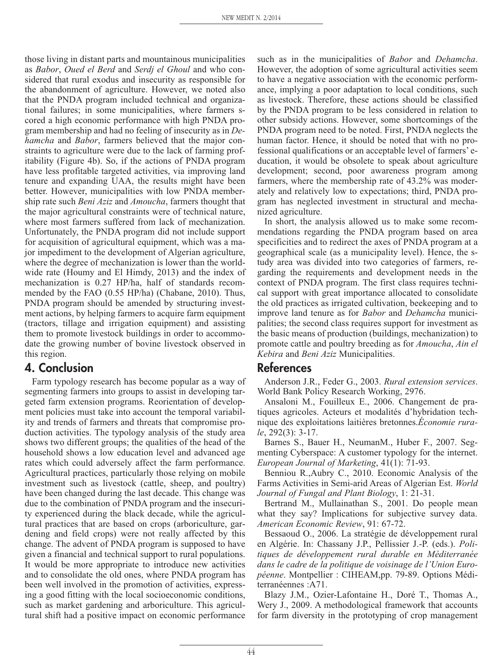those living in distant parts and mountainous municipalities as *Babor*, *Oued el Berd* and *Serdj el Ghoul* and who considered that rural exodus and insecurity as responsible for the abandonment of agriculture. However, we noted also that the PNDA program included technical and organizational failures; in some municipalities, where farmers scored a high economic performance with high PNDA program membership and had no feeling of insecurity as in *Dehamcha* and *Babor*, farmers believed that the major constraints to agriculture were due to the lack of farming profitability (Figure 4b). So, if the actions of PNDA program have less profitable targeted activities, via improving land tenure and expanding UAA, the results might have been better. However, municipalities with low PNDA membership rate such *Beni Aziz* and *Amoucha*, farmers thought that the major agricultural constraints were of technical nature, where most farmers suffered from lack of mechanization. Unfortunately, the PNDA program did not include support for acquisition of agricultural equipment, which was a major impediment to the development of Algerian agriculture, where the degree of mechanization is lower than the worldwide rate (Houmy and El Himdy, 2013) and the index of mechanization is 0.27 HP/ha, half of standards recommended by the FAO (0.55 HP/ha) (Chabane, 2010). Thus, PNDA program should be amended by structuring investment actions, by helping farmers to acquire farm equipment (tractors, tillage and irrigation equipment) and assisting them to promote livestock buildings in order to accommodate the growing number of bovine livestock observed in this region.

# **4. Conclusion**

Farm typology research has become popular as a way of segmenting farmers into groups to assist in developing targeted farm extension programs. Reorientation of development policies must take into account the temporal variability and trends of farmers and threats that compromise production activities. The typology analysis of the study area shows two different groups; the qualities of the head of the household shows a low education level and advanced age rates which could adversely affect the farm performance. Agricultural practices, particularly those relying on mobile investment such as livestock (cattle, sheep, and poultry) have been changed during the last decade. This change was due to the combination of PNDA program and the insecurity experienced during the black decade, while the agricultural practices that are based on crops (arboriculture, gardening and field crops) were not really affected by this change. The advent of PNDA program is supposed to have given a financial and technical support to rural populations. It would be more appropriate to introduce new activities and to consolidate the old ones, where PNDA program has been well involved in the promotion of activities, expressing a good fitting with the local socioeconomic conditions, such as market gardening and arboriculture. This agricultural shift had a positive impact on economic performance

such as in the municipalities of *Babor* and *Dehamcha*. However, the adoption of some agricultural activities seem to have a negative association with the economic performance, implying a poor adaptation to local conditions, such as livestock. Therefore, these actions should be classified by the PNDA program to be less considered in relation to other subsidy actions. However, some shortcomings of the PNDA program need to be noted. First, PNDA neglects the human factor. Hence, it should be noted that with no professional qualifications or an acceptable level of farmers' education, it would be obsolete to speak about agriculture development; second, poor awareness program among farmers, where the membership rate of 43.2% was moderately and relatively low to expectations; third, PNDA program has neglected investment in structural and mechanized agriculture.

In short, the analysis allowed us to make some recommendations regarding the PNDA program based on area specificities and to redirect the axes of PNDA program at a geographical scale (as a municipality level). Hence, the study area was divided into two categories of farmers, regarding the requirements and development needs in the context of PNDA program. The first class requires technical support with great importance allocated to consolidate the old practices as irrigated cultivation, beekeeping and to improve land tenure as for *Babor* and *Dehamcha* municipalities; the second class requires support for investment as the basic means of production (buildings, mechanization) to promote cattle and poultry breeding as for *Amoucha*, *Ain el Kebira* and *Beni Aziz* Municipalities.

### **References**

Anderson J.R., Feder G., 2003. *Rural extension services*. World Bank Policy Research Working, 2976.

Ansaloni M., Fouilleux E., 2006. Changement de pratiques agricoles. Acteurs et modalités d'hybridation technique des exploitations laitières bretonnes.*Économie rurale*, 292(3): 3-17.

Barnes S., Bauer H., NeumanM., Huber F., 2007. Segmenting Cyberspace: A customer typology for the internet. *European Journal of Marketing*, 41(1): 71-93.

Benniou R.,Aubry C., 2010. Economic Analysis of the Farms Activities in Semi-arid Areas of Algerian Est. *World Journal of Fungal and Plant Biology*, 1: 21-31.

Bertrand M., Mullainathan S., 2001. Do people mean what they say? Implications for subjective survey data. *American Economic Review*, 91: 67-72.

Bessaoud O., 2006. La stratégie de développement rural en Algérie. In: Chassany J.P., Pellissier J.-P. (eds.). *Politiques de développement rural durable en Méditerranée dans le cadre de la politique de voisinage de l'Union Européenne*. Montpellier : CIHEAM,pp. 79-89. Options Méditerranéennes :A71.

Blazy J.M., Ozier-Lafontaine H., Doré T., Thomas A., Wery J., 2009. A methodological framework that accounts for farm diversity in the prototyping of crop management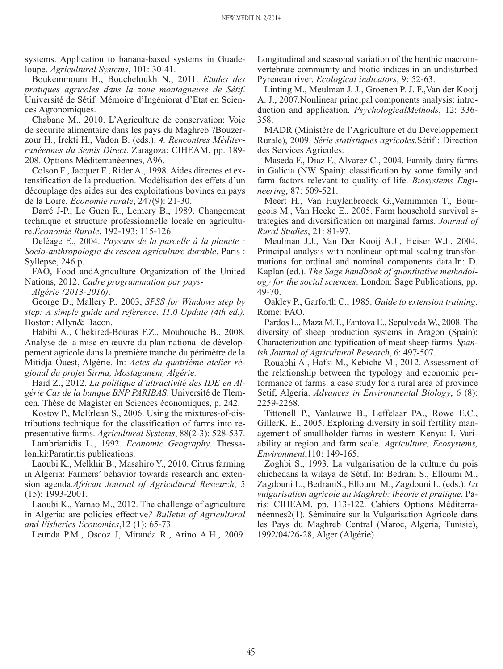systems. Application to banana-based systems in Guadeloupe. *Agricultural Systems*, 101: 30-41.

Boukemmoum H., Boucheloukh N., 2011. *Etudes des pratiques agricoles dans la zone montagneuse de Sétif*. Université de Sétif. Mémoire d'Ingéniorat d'Etat en Sciences Agronomiques.

Chabane M., 2010. L'Agriculture de conservation: Voie de sécurité alimentaire dans les pays du Maghreb ?Bouzerzour H., Irekti H., Vadon B. (eds.). *4. Rencontres Méditerranéennes du Semis Direct*. Zaragoza: CIHEAM, pp. 189- 208. Options Méditerranéennes, A96.

Colson F., Jacquet F., Rider A., 1998. Aides directes et extensification de la production. Modélisation des effets d'un découplage des aides sur des exploitations bovines en pays de la Loire. *Économie rurale*, 247(9): 21-30.

Darré J-P., Le Guen R., Lemery B., 1989. Changement technique et structure professionnelle locale en agriculture.*Économie Rurale*, 192-193: 115-126.

Deléage E., 2004. *Paysans de la parcelle à la planète : Socio-anthropologie du réseau agriculture durable*. Paris : Syllepse, 246 p.

FAO, Food andAgriculture Organization of the United Nations, 2012. *Cadre programmation par pays-*

*Algérie (2013-2016)*.

George D., Mallery P., 2003, *SPSS for Windows step by step: A simple guide and reference. 11.0 Update (4th ed.).* Boston: Allyn& Bacon.

Habibi A., Chekired-Bouras F.Z., Mouhouche B., 2008. Analyse de la mise en œuvre du plan national de développement agricole dans la première tranche du périmètre de la Mitidja Ouest, Algérie. In: *Actes du quatrième atelier régional du projet Sirma, Mostaganem, Algérie.*

Haid Z., 2012. *La politique d'attractivité des IDE en Algérie Cas de la banque BNP PARIBAS*. Université de Tlemcen. Thèse de Magister en Sciences économiques, p. 242.

Kostov P., McErlean S., 2006. Using the mixtures-of-distributions technique for the classification of farms into representative farms. *Agricultural Systems*, 88(2-3): 528-537.

Lambrianidis L., 1992. *Economic Geography*. Thessaloniki:Paratiritis publications.

Laoubi K., Melkhir B., Masahiro Y., 2010. Citrus farming in Algeria: Farmers' behavior towards research and extension agenda.*African Journal of Agricultural Research*, 5 (15): 1993-2001.

Laoubi K., Yamao M., 2012. The challenge of agriculture in Algeria: are policies effective*? Bulletin of Agricultural and Fisheries Economics*,12 (1): 65-73.

Leunda P.M., Oscoz J, Miranda R., Arino A.H., 2009.

Longitudinal and seasonal variation of the benthic macroinvertebrate community and biotic indices in an undisturbed Pyrenean river. *Ecological indicators*, 9: 52-63.

Linting M., Meulman J. J., Groenen P. J. F.,Van der Kooij A. J., 2007.Nonlinear principal components analysis: introduction and application. *PsychologicalMethods*, 12: 336- 358.

MADR (Ministère de l'Agriculture et du Développement Rurale), 2009. *Série statistiques agricoles*.Sétif : Direction des Services Agricoles.

Maseda F., Diaz F., Alvarez C., 2004. Family dairy farms in Galicia (NW Spain): classification by some family and farm factors relevant to quality of life. *Biosystems Engineering*, 87: 509-521.

Meert H., Van Huylenbroeck G.,Vernimmen T., Bourgeois M., Van Hecke E., 2005. Farm household survival strategies and diversification on marginal farms. *Journal of Rural Studies*, 21: 81-97.

Meulman J.J., Van Der Kooij A.J., Heiser W.J., 2004. Principal analysis with nonlinear optimal scaling transformations for ordinal and nominal components data.In: D. Kaplan (ed.). *The Sage handbook of quantitative methodology for the social sciences*. London: Sage Publications, pp. 49-70.

Oakley P., Garforth C., 1985. *Guide to extension training*. Rome: FAO.

Pardos L., Maza M.T., Fantova E., Sepulveda W., 2008. The diversity of sheep production systems in Aragon (Spain): Characterization and typification of meat sheep farms. *Spanish Journal of Agricultural Research*, 6: 497-507.

Rouabhi A., Hafsi M., Kebiche M., 2012. Assessment of the relationship between the typology and economic performance of farms: a case study for a rural area of province Setif, Algeria. *Advances in Environmental Biology*, 6 (8): 2259-2268.

Tittonell P., Vanlauwe B., Leffelaar PA., Rowe E.C., GillerK. E., 2005. Exploring diversity in soil fertility management of smallholder farms in western Kenya: I. Variability at region and farm scale. *Agriculture, Ecosystems, Environment*,110: 149-165.

Zoghbi S., 1993. La vulgarisation de la culture du pois chichedans la wilaya de Sétif. In: Bedrani S., Elloumi M., Zagdouni L., BedraniS., Elloumi M., Zagdouni L. (eds.). *La vulgarisation agricole au Maghreb: théorie et pratique.* Paris: CIHEAM, pp. 113-122. Cahiers Options Méditerranéennes2(1). Séminaire sur la Vulgarisation Agricole dans les Pays du Maghreb Central (Maroc, Algeria, Tunisie), 1992/04/26-28, Alger (Algérie).